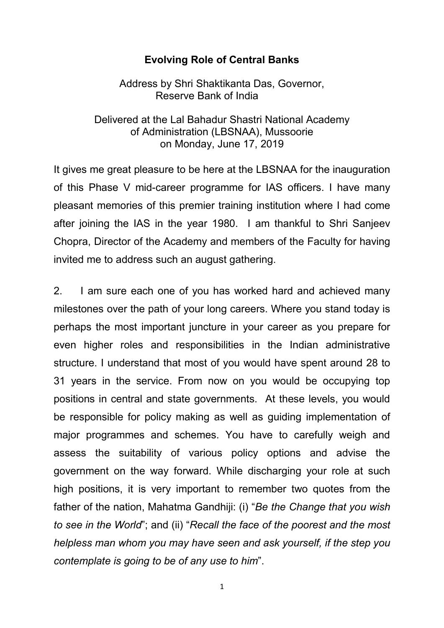# **Evolving Role of Central Banks**

Address by Shri Shaktikanta Das, Governor, Reserve Bank of India

Delivered at the Lal Bahadur Shastri National Academy of Administration (LBSNAA), Mussoorie on Monday, June 17, 2019

It gives me great pleasure to be here at the LBSNAA for the inauguration of this Phase V mid-career programme for IAS officers. I have many pleasant memories of this premier training institution where I had come after joining the IAS in the year 1980. I am thankful to Shri Sanjeev Chopra, Director of the Academy and members of the Faculty for having invited me to address such an august gathering.

2. I am sure each one of you has worked hard and achieved many milestones over the path of your long careers. Where you stand today is perhaps the most important juncture in your career as you prepare for even higher roles and responsibilities in the Indian administrative structure. I understand that most of you would have spent around 28 to 31 years in the service. From now on you would be occupying top positions in central and state governments. At these levels, you would be responsible for policy making as well as guiding implementation of major programmes and schemes. You have to carefully weigh and assess the suitability of various policy options and advise the government on the way forward. While discharging your role at such high positions, it is very important to remember two quotes from the father of the nation, Mahatma Gandhiji: (i) "*Be the Change that you wish to see in the World*"; and (ii) "*Recall the face of the poorest and the most helpless man whom you may have seen and ask yourself, if the step you contemplate is going to be of any use to him*".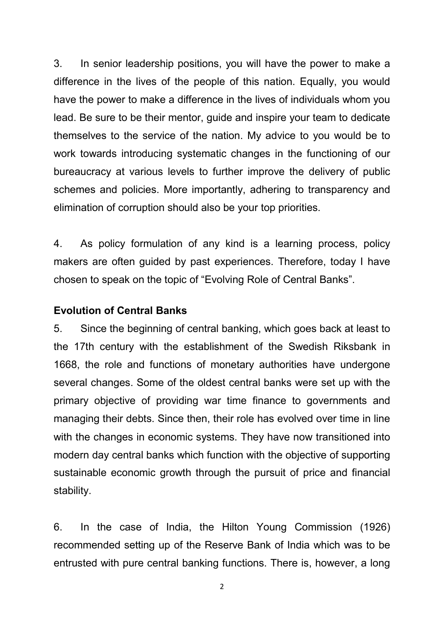3. In senior leadership positions, you will have the power to make a difference in the lives of the people of this nation. Equally, you would have the power to make a difference in the lives of individuals whom you lead. Be sure to be their mentor, guide and inspire your team to dedicate themselves to the service of the nation. My advice to you would be to work towards introducing systematic changes in the functioning of our bureaucracy at various levels to further improve the delivery of public schemes and policies. More importantly, adhering to transparency and elimination of corruption should also be your top priorities.

4. As policy formulation of any kind is a learning process, policy makers are often guided by past experiences. Therefore, today I have chosen to speak on the topic of "Evolving Role of Central Banks".

## **Evolution of Central Banks**

5. Since the beginning of central banking, which goes back at least to the 17th century with the establishment of the Swedish Riksbank in 1668, the role and functions of monetary authorities have undergone several changes. Some of the oldest central banks were set up with the primary objective of providing war time finance to governments and managing their debts. Since then, their role has evolved over time in line with the changes in economic systems. They have now transitioned into modern day central banks which function with the objective of supporting sustainable economic growth through the pursuit of price and financial stability.

6. In the case of India, the Hilton Young Commission (1926) recommended setting up of the Reserve Bank of India which was to be entrusted with pure central banking functions. There is, however, a long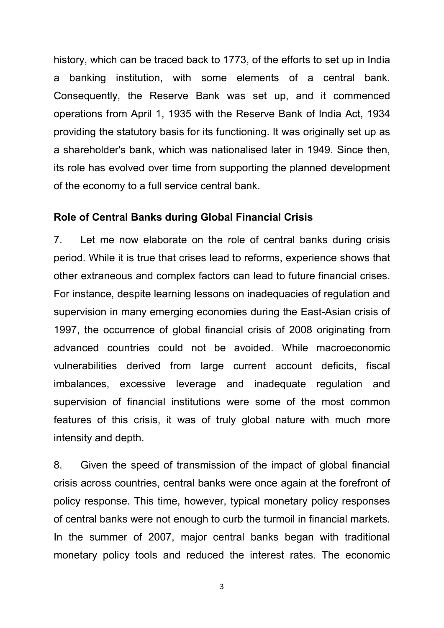history, which can be traced back to 1773, of the efforts to set up in India a banking institution, with some elements of a central bank. Consequently, the Reserve Bank was set up, and it commenced operations from April 1, 1935 with the Reserve Bank of India Act, 1934 providing the statutory basis for its functioning. It was originally set up as a shareholder's bank, which was nationalised later in 1949. Since then, its role has evolved over time from supporting the planned development of the economy to a full service central bank.

# **Role of Central Banks during Global Financial Crisis**

7. Let me now elaborate on the role of central banks during crisis period. While it is true that crises lead to reforms, experience shows that other extraneous and complex factors can lead to future financial crises. For instance, despite learning lessons on inadequacies of regulation and supervision in many emerging economies during the East-Asian crisis of 1997, the occurrence of global financial crisis of 2008 originating from advanced countries could not be avoided. While macroeconomic vulnerabilities derived from large current account deficits, fiscal imbalances, excessive leverage and inadequate regulation and supervision of financial institutions were some of the most common features of this crisis, it was of truly global nature with much more intensity and depth.

8. Given the speed of transmission of the impact of global financial crisis across countries, central banks were once again at the forefront of policy response. This time, however, typical monetary policy responses of central banks were not enough to curb the turmoil in financial markets. In the summer of 2007, major central banks began with traditional monetary policy tools and reduced the interest rates. The economic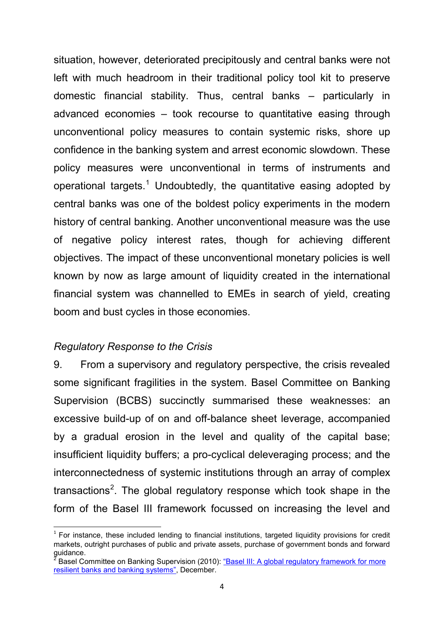situation, however, deteriorated precipitously and central banks were not left with much headroom in their traditional policy tool kit to preserve domestic financial stability. Thus, central banks – particularly in advanced economies – took recourse to quantitative easing through unconventional policy measures to contain systemic risks, shore up confidence in the banking system and arrest economic slowdown. These policy measures were unconventional in terms of instruments and operational targets.<sup>[1](#page-3-0)</sup> Undoubtedly, the quantitative easing adopted by central banks was one of the boldest policy experiments in the modern history of central banking. Another unconventional measure was the use of negative policy interest rates, though for achieving different objectives. The impact of these unconventional monetary policies is well known by now as large amount of liquidity created in the international financial system was channelled to EMEs in search of yield, creating boom and bust cycles in those economies.

# *Regulatory Response to the Crisis*

9. From a supervisory and regulatory perspective, the crisis revealed some significant fragilities in the system. Basel Committee on Banking Supervision (BCBS) succinctly summarised these weaknesses: an excessive build-up of on and off-balance sheet leverage, accompanied by a gradual erosion in the level and quality of the capital base; insufficient liquidity buffers; a pro-cyclical deleveraging process; and the interconnectedness of systemic institutions through an array of complex transactions<sup>[2](#page-3-1)</sup>. The global regulatory response which took shape in the form of the Basel III framework focussed on increasing the level and

<span id="page-3-0"></span> $1$  For instance, these included lending to financial institutions, targeted liquidity provisions for credit markets, outright purchases of public and private assets, purchase of government bonds and forward guidance.

<span id="page-3-1"></span>Basel Committee on Banking Supervision (2010): "Basel III: A global regulatory framework for more [resilient banks and banking systems",](https://www.bis.org/publ/bcbs189.htm) December.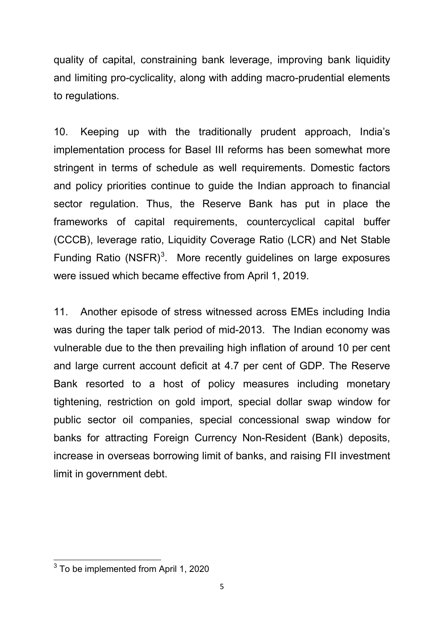quality of capital, constraining bank leverage, improving bank liquidity and limiting pro-cyclicality, along with adding macro-prudential elements to regulations.

10. Keeping up with the traditionally prudent approach, India's implementation process for Basel III reforms has been somewhat more stringent in terms of schedule as well requirements. Domestic factors and policy priorities continue to guide the Indian approach to financial sector regulation. Thus, the Reserve Bank has put in place the frameworks of capital requirements, countercyclical capital buffer (CCCB), leverage ratio, Liquidity Coverage Ratio (LCR) and Net Stable Funding Ratio  $(NSFR)^3$  $(NSFR)^3$ . More recently guidelines on large exposures were issued which became effective from April 1, 2019.

11. Another episode of stress witnessed across EMEs including India was during the taper talk period of mid-2013. The Indian economy was vulnerable due to the then prevailing high inflation of around 10 per cent and large current account deficit at 4.7 per cent of GDP. The Reserve Bank resorted to a host of policy measures including monetary tightening, restriction on gold import, special dollar swap window for public sector oil companies, special concessional swap window for banks for attracting Foreign Currency Non-Resident (Bank) deposits, increase in overseas borrowing limit of banks, and raising FII investment limit in government debt.

<span id="page-4-0"></span><sup>&</sup>lt;sup>3</sup> To be implemented from April 1, 2020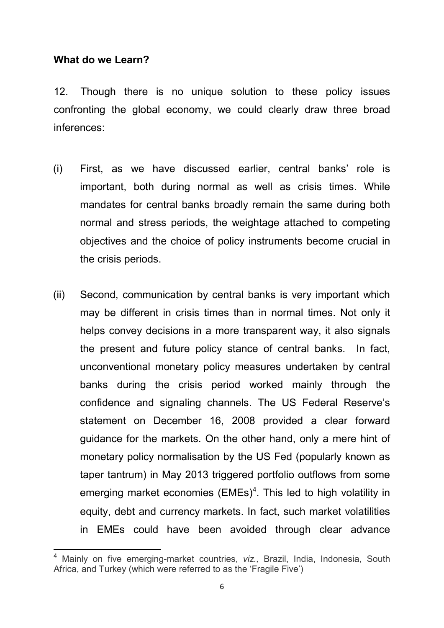# **What do we Learn?**

12. Though there is no unique solution to these policy issues confronting the global economy, we could clearly draw three broad inferences:

- (i) First, as we have discussed earlier, central banks' role is important, both during normal as well as crisis times. While mandates for central banks broadly remain the same during both normal and stress periods, the weightage attached to competing objectives and the choice of policy instruments become crucial in the crisis periods.
- (ii) Second, communication by central banks is very important which may be different in crisis times than in normal times. Not only it helps convey decisions in a more transparent way, it also signals the present and future policy stance of central banks. In fact, unconventional monetary policy measures undertaken by central banks during the crisis period worked mainly through the confidence and signaling channels. The US Federal Reserve's statement on December 16, 2008 provided a clear forward guidance for the markets. On the other hand, only a mere hint of monetary policy normalisation by the US Fed (popularly known as taper tantrum) in May 2013 triggered portfolio outflows from some emerging market economies (EMEs)<sup>[4](#page-5-0)</sup>. This led to high volatility in equity, debt and currency markets. In fact, such market volatilities in EMEs could have been avoided through clear advance

<span id="page-5-0"></span><sup>4</sup> Mainly on five emerging-market countries, *viz.,* Brazil, India, Indonesia, South Africa, and Turkey (which were referred to as the 'Fragile Five')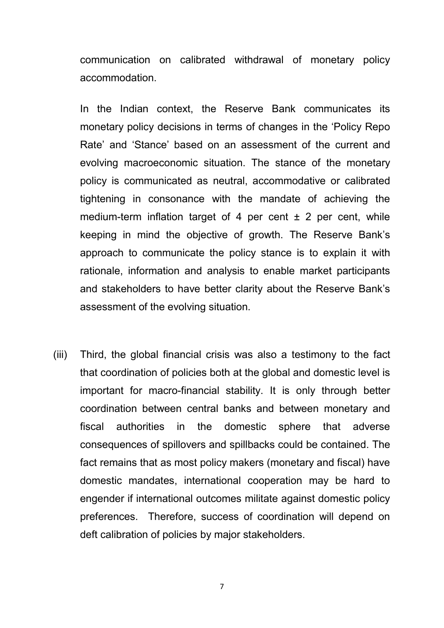communication on calibrated withdrawal of monetary policy accommodation.

In the Indian context, the Reserve Bank communicates its monetary policy decisions in terms of changes in the 'Policy Repo Rate' and 'Stance' based on an assessment of the current and evolving macroeconomic situation. The stance of the monetary policy is communicated as neutral, accommodative or calibrated tightening in consonance with the mandate of achieving the medium-term inflation target of 4 per cent  $\pm$  2 per cent, while keeping in mind the objective of growth. The Reserve Bank's approach to communicate the policy stance is to explain it with rationale, information and analysis to enable market participants and stakeholders to have better clarity about the Reserve Bank's assessment of the evolving situation.

(iii) Third, the global financial crisis was also a testimony to the fact that coordination of policies both at the global and domestic level is important for macro-financial stability. It is only through better coordination between central banks and between monetary and fiscal authorities in the domestic sphere that adverse consequences of spillovers and spillbacks could be contained. The fact remains that as most policy makers (monetary and fiscal) have domestic mandates, international cooperation may be hard to engender if international outcomes militate against domestic policy preferences. Therefore, success of coordination will depend on deft calibration of policies by major stakeholders.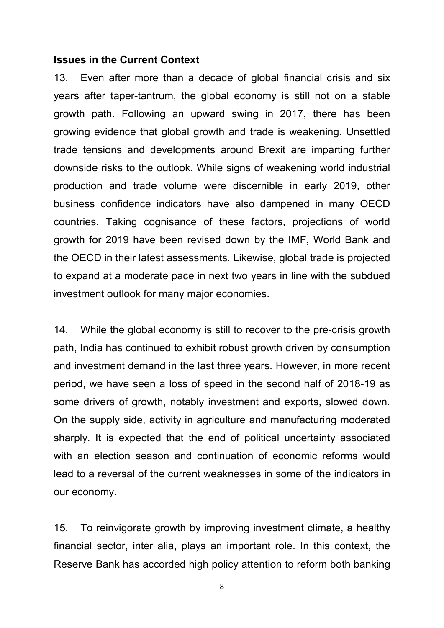#### **Issues in the Current Context**

13. Even after more than a decade of global financial crisis and six years after taper-tantrum, the global economy is still not on a stable growth path. Following an upward swing in 2017, there has been growing evidence that global growth and trade is weakening. Unsettled trade tensions and developments around Brexit are imparting further downside risks to the outlook. While signs of weakening world industrial production and trade volume were discernible in early 2019, other business confidence indicators have also dampened in many OECD countries. Taking cognisance of these factors, projections of world growth for 2019 have been revised down by the IMF, World Bank and the OECD in their latest assessments. Likewise, global trade is projected to expand at a moderate pace in next two years in line with the subdued investment outlook for many major economies.

14. While the global economy is still to recover to the pre-crisis growth path, India has continued to exhibit robust growth driven by consumption and investment demand in the last three years. However, in more recent period, we have seen a loss of speed in the second half of 2018-19 as some drivers of growth, notably investment and exports, slowed down. On the supply side, activity in agriculture and manufacturing moderated sharply. It is expected that the end of political uncertainty associated with an election season and continuation of economic reforms would lead to a reversal of the current weaknesses in some of the indicators in our economy.

15. To reinvigorate growth by improving investment climate, a healthy financial sector, inter alia, plays an important role. In this context, the Reserve Bank has accorded high policy attention to reform both banking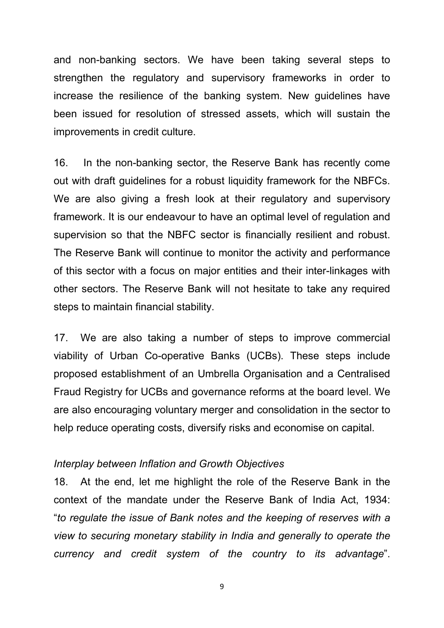and non-banking sectors. We have been taking several steps to strengthen the regulatory and supervisory frameworks in order to increase the resilience of the banking system. New guidelines have been issued for resolution of stressed assets, which will sustain the improvements in credit culture.

16. In the non-banking sector, the Reserve Bank has recently come out with draft guidelines for a robust liquidity framework for the NBFCs. We are also giving a fresh look at their regulatory and supervisory framework. It is our endeavour to have an optimal level of regulation and supervision so that the NBFC sector is financially resilient and robust. The Reserve Bank will continue to monitor the activity and performance of this sector with a focus on major entities and their inter-linkages with other sectors. The Reserve Bank will not hesitate to take any required steps to maintain financial stability.

17. We are also taking a number of steps to improve commercial viability of Urban Co-operative Banks (UCBs). These steps include proposed establishment of an Umbrella Organisation and a Centralised Fraud Registry for UCBs and governance reforms at the board level. We are also encouraging voluntary merger and consolidation in the sector to help reduce operating costs, diversify risks and economise on capital.

#### *Interplay between Inflation and Growth Objectives*

18. At the end, let me highlight the role of the Reserve Bank in the context of the mandate under the Reserve Bank of India Act, 1934: "*to regulate the issue of Bank notes and the keeping of reserves with a view to securing monetary stability in India and generally to operate the currency and credit system of the country to its advantage*".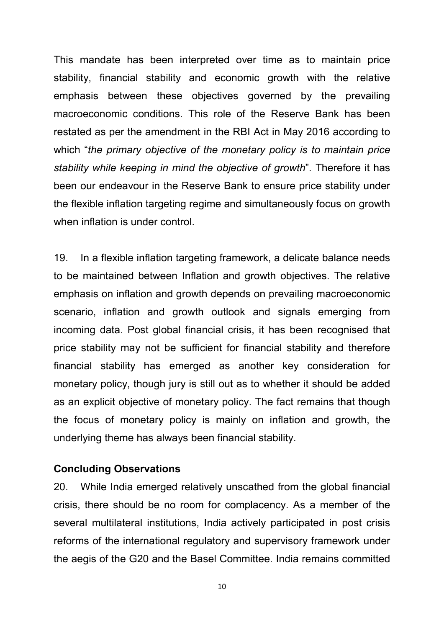This mandate has been interpreted over time as to maintain price stability, financial stability and economic growth with the relative emphasis between these objectives governed by the prevailing macroeconomic conditions. This role of the Reserve Bank has been restated as per the amendment in the RBI Act in May 2016 according to which "*the primary objective of the monetary policy is to maintain price stability while keeping in mind the objective of growth*". Therefore it has been our endeavour in the Reserve Bank to ensure price stability under the flexible inflation targeting regime and simultaneously focus on growth when inflation is under control.

19. In a flexible inflation targeting framework, a delicate balance needs to be maintained between Inflation and growth objectives. The relative emphasis on inflation and growth depends on prevailing macroeconomic scenario, inflation and growth outlook and signals emerging from incoming data. Post global financial crisis, it has been recognised that price stability may not be sufficient for financial stability and therefore financial stability has emerged as another key consideration for monetary policy, though jury is still out as to whether it should be added as an explicit objective of monetary policy. The fact remains that though the focus of monetary policy is mainly on inflation and growth, the underlying theme has always been financial stability.

# **Concluding Observations**

20. While India emerged relatively unscathed from the global financial crisis, there should be no room for complacency. As a member of the several multilateral institutions, India actively participated in post crisis reforms of the international regulatory and supervisory framework under the aegis of the G20 and the Basel Committee. India remains committed